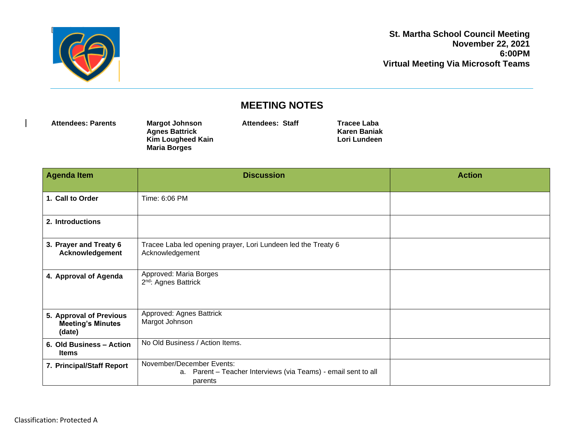

## **MEETING NOTES**

| <b>Attendees: Parents</b> | <b>Margot Johnson</b> | Attendees: Staff | Tracee Laba         |
|---------------------------|-----------------------|------------------|---------------------|
|                           | <b>Agnes Battrick</b> |                  | <b>Karen Baniak</b> |
|                           | Kim Lougheed Kain     |                  | Lori Lundeen        |
|                           | <b>Maria Borges</b>   |                  |                     |

| <b>Agenda Item</b>                                            | <b>Discussion</b>                                                                                      | <b>Action</b> |
|---------------------------------------------------------------|--------------------------------------------------------------------------------------------------------|---------------|
| 1. Call to Order                                              | Time: 6:06 PM                                                                                          |               |
| 2. Introductions                                              |                                                                                                        |               |
| 3. Prayer and Treaty 6<br>Acknowledgement                     | Tracee Laba led opening prayer, Lori Lundeen led the Treaty 6<br>Acknowledgement                       |               |
| 4. Approval of Agenda                                         | Approved: Maria Borges<br>2 <sup>nd</sup> : Agnes Battrick                                             |               |
| 5. Approval of Previous<br><b>Meeting's Minutes</b><br>(date) | Approved: Agnes Battrick<br>Margot Johnson                                                             |               |
| 6. Old Business - Action<br><b>Items</b>                      | No Old Business / Action Items.                                                                        |               |
| 7. Principal/Staff Report                                     | November/December Events:<br>a. Parent - Teacher Interviews (via Teams) - email sent to all<br>parents |               |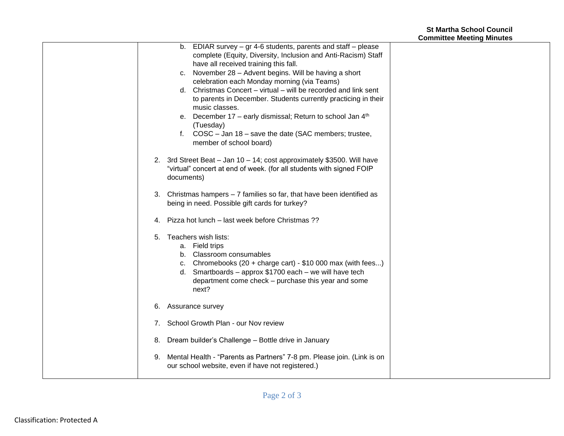| b. EDIAR survey $-$ gr 4-6 students, parents and staff $-$ please<br>complete (Equity, Diversity, Inclusion and Anti-Racism) Staff<br>have all received training this fall.<br>November 28 - Advent begins. Will be having a short<br>С.<br>celebration each Monday morning (via Teams)<br>d. Christmas Concert - virtual - will be recorded and link sent<br>to parents in December. Students currently practicing in their<br>music classes. |  |
|------------------------------------------------------------------------------------------------------------------------------------------------------------------------------------------------------------------------------------------------------------------------------------------------------------------------------------------------------------------------------------------------------------------------------------------------|--|
| e. December 17 - early dismissal; Return to school Jan 4th<br>(Tuesday)<br>f. COSC - Jan 18 - save the date (SAC members; trustee,                                                                                                                                                                                                                                                                                                             |  |
| member of school board)<br>2. 3rd Street Beat - Jan 10 - 14; cost approximately \$3500. Will have                                                                                                                                                                                                                                                                                                                                              |  |
| "virtual" concert at end of week. (for all students with signed FOIP<br>documents)                                                                                                                                                                                                                                                                                                                                                             |  |
| 3. Christmas hampers - 7 families so far, that have been identified as<br>being in need. Possible gift cards for turkey?                                                                                                                                                                                                                                                                                                                       |  |
| Pizza hot lunch - last week before Christmas ??<br>4.                                                                                                                                                                                                                                                                                                                                                                                          |  |
| Teachers wish lists:<br>5.<br>a. Field trips<br>b. Classroom consumables<br>Chromebooks $(20 + \text{charge cart}) - $10,000$ max (with fees)<br>c.<br>d. Smartboards - approx $$1700$ each - we will have tech<br>department come check - purchase this year and some<br>next?                                                                                                                                                                |  |
| 6. Assurance survey                                                                                                                                                                                                                                                                                                                                                                                                                            |  |
| 7. School Growth Plan - our Nov review                                                                                                                                                                                                                                                                                                                                                                                                         |  |
| 8. Dream builder's Challenge - Bottle drive in January                                                                                                                                                                                                                                                                                                                                                                                         |  |
| 9. Mental Health - "Parents as Partners" 7-8 pm. Please join. (Link is on<br>our school website, even if have not registered.)                                                                                                                                                                                                                                                                                                                 |  |